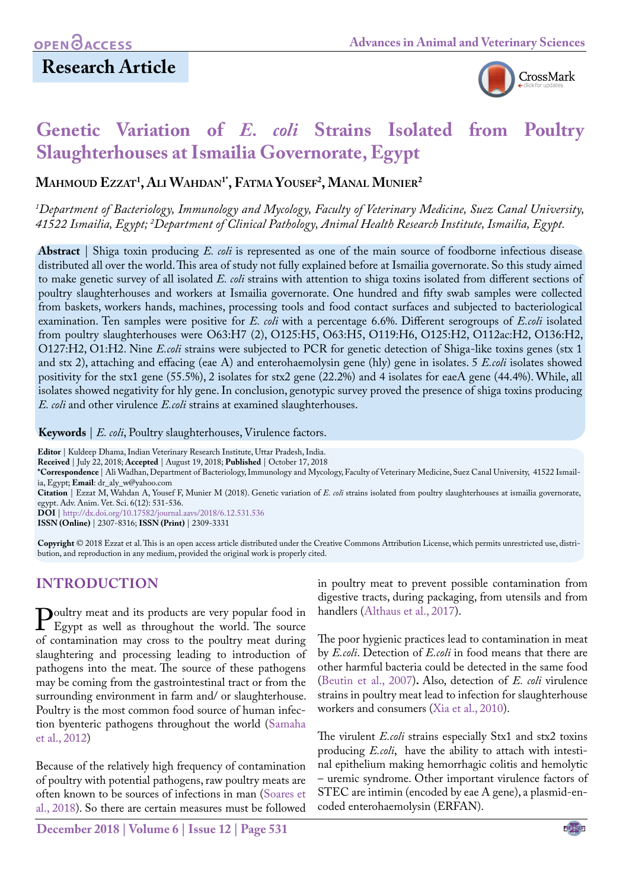## **Research Article**



# **Genetic Variation of** *E. coli* **Strains Isolated from Poultry Slaughterhouses at Ismailia Governorate, Egypt**

**Mahmoud Ezzat1 , Ali Wahdan1\*, Fatma Yousef2 , Manal Munier2**

*1 Department of Bacteriology, Immunology and Mycology, Faculty of Veterinary Medicine, Suez Canal University, 41522 Ismailia, Egypt; 2 Department of Clinical Pathology, Animal Health Research Institute, Ismailia, Egypt.*

**Abstract** | Shiga toxin producing *E. coli* is represented as one of the main source of foodborne infectious disease distributed all over the world. This area of study not fully explained before at Ismailia governorate. So this study aimed to make genetic survey of all isolated *E. coli* strains with attention to shiga toxins isolated from different sections of poultry slaughterhouses and workers at Ismailia governorate. One hundred and fifty swab samples were collected from baskets, workers hands, machines, processing tools and food contact surfaces and subjected to bacteriological examination. Ten samples were positive for *E. coli* with a percentage 6.6%. Different serogroups of *E.coli* isolated from poultry slaughterhouses were O63:H7 (2), O125:H5, O63:H5, O119:H6, O125:H2, O112ac:H2, O136:H2, O127:H2, O1:H2. Nine *E.coli* strains were subjected to PCR for genetic detection of Shiga-like toxins genes (stx 1 and stx 2), attaching and effacing (eae A) and enterohaemolysin gene (hly) gene in isolates. 5 *E.coli* isolates showed positivity for the stx1 gene (55.5%), 2 isolates for stx2 gene (22.2%) and 4 isolates for eaeA gene (44.4%). While, all isolates showed negativity for hly gene. In conclusion, genotypic survey proved the presence of shiga toxins producing *E. coli* and other virulence *E.coli* strains at examined slaughterhouses.

**Keywords** | *E. coli*, Poultry slaughterhouses, Virulence factors.

**Editor** | Kuldeep Dhama, Indian Veterinary Research Institute, Uttar Pradesh, India. **Received** | July 22, 2018; **Accepted** | August 19, 2018; **Published** | October 17, 2018 **\*Correspondence** | Ali Wadhan, Department of Bacteriology, Immunology and Mycology, Faculty of Veterinary Medicine, Suez Canal University, 41522 Ismailia, Egypt; **Email**: dr\_aly\_w@yahoo.com **Citation** | Ezzat M, Wahdan A, Yousef F, Munier M (2018). Genetic variation of *E. coli* strains isolated from poultry slaughterhouses at ismailia governorate, egypt. Adv. Anim. Vet. Sci. 6(12): 531-536. **DOI** | [http://dx.doi.org/10.17582/journal.aavs/2018/6.12](http://dx.doi.org/10.17582/journal.aavs/2018/6.12.531.536).531.536 **ISSN (Online)** | 2307-8316; **ISSN (Print)** | 2309-3331

**Copyright** © 2018 Ezzat et al. This is an open access article distributed under the Creative Commons Attribution License, which permits unrestricted use, distribution, and reproduction in any medium, provided the original work is properly cited.

## **INTRODUCTION**

**Poultry meat and its products are very popular food in** Egypt as well as throughout the world. The source of contamination may cross to the poultry meat during of contamination may cross to the poultry meat during slaughtering and processing leading to introduction of pathogens into the meat. The source of these pathogens may be coming from the gastrointestinal tract or from the surrounding environment in farm and/ or slaughterhouse. Poultry is the most common food source of human infection byenteric pathogens throughout the world [\(Samaha](#page-5-0)  [et al., 2012](#page-5-0))

Because of the relatively high frequency of contamination of poultry with potential pathogens, raw poultry meats are often known to be sources of infections in man ([Soares et](#page-5-1)  [al., 2018](#page-5-1)). So there are certain measures must be followed

**December 2018 | Volume 6 | Issue 12 | Page 531**

in poultry meat to prevent possible contamination from digestive tracts, during packaging, from utensils and from handlers ([Althaus et al., 2017](#page-4-0)).

The poor hygienic practices lead to contamination in meat by *E.coli*. Detection of *E.coli* in food means that there are other harmful bacteria could be detected in the same food (Beutin et al., 2007)**.** Also, detection of *E. coli* virulence strains in poultry meat lead to infection for slaughterhouse workers and consumers [\(Xia et al., 2010](#page-5-2)).

The virulent *E.coli* strains especially Stx1 and stx2 toxins producing *E.coli*, have the ability to attach with intestinal epithelium making hemorrhagic colitis and hemolytic – uremic syndrome. Other important virulence factors of STEC are intimin (encoded by eae A gene), a plasmid-encoded enterohaemolysin (ERFAN).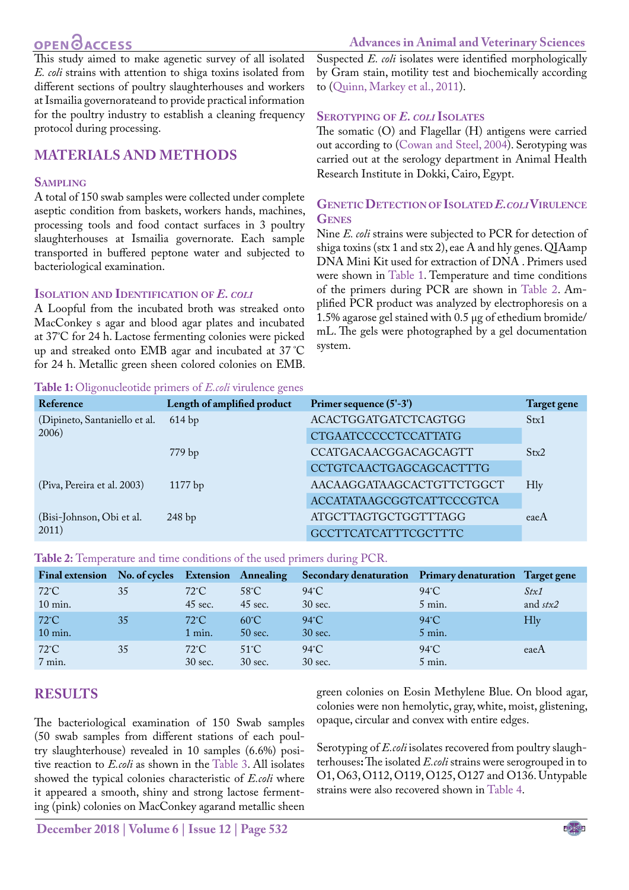## **OPEN GACCESS**

<span id="page-1-0"></span>This study aimed to make agenetic survey of all isolated *E. coli* strains with attention to shiga toxins isolated from different sections of poultry slaughterhouses and workers at Ismailia governorateand to provide practical information for the poultry industry to establish a cleaning frequency protocol during processing.

## **MATERIALS AND METHODS**

#### **Sampling**

A total of 150 swab samples were collected under complete aseptic condition from baskets, workers hands, machines, processing tools and food contact surfaces in 3 poultry slaughterhouses at Ismailia governorate. Each sample transported in buffered peptone water and subjected to bacteriological examination.

#### **Isolation and Identification of** *E. coli*

A Loopful from the incubated broth was streaked onto MacConkey s agar and blood agar plates and incubated at 37º C for 24 h. Lactose fermenting colonies were picked up and streaked onto EMB agar and incubated at 37 ºC for 24 h. Metallic green sheen colored colonies on EMB.

**Table 1:** Oligonucleotide primers of *E.coli* virulence genes

Suspected *E. coli* isolates were identified morphologically by Gram stain, motility test and biochemically according to [\(Quinn, Markey et al., 2011\)](#page-5-3).

#### **Serotyping of** *E. coli* **Isolates**

The somatic (O) and Flagellar (H) antigens were carried out according to (Cowan and Steel, 2004). Serotyping was carried out at the serology department in Animal Health Research Institute in Dokki, Cairo, Egypt.

#### **GeneticDetection of Isolated** *E.coli***Virulence Genes**

Nine *E. coli* strains were subjected to PCR for detection of shiga toxins (stx 1 and stx 2), eae A and hly genes. QIAamp DNA Mini Kit used for extraction of DNA . Primers used were shown in [Table 1](#page-1-0). Temperature and time conditions of the primers during PCR are shown in [Table 2.](#page-1-1) Amplified PCR product was analyzed by electrophoresis on a 1.5% agarose gel stained with 0.5 µg of ethedium bromide/ mL. The gels were photographed by a gel documentation system.

| Reference                              | Length of amplified product | Primer sequence (5'-3')     | <b>Target gene</b> |  |
|----------------------------------------|-----------------------------|-----------------------------|--------------------|--|
| (Dipineto, Santaniello et al.<br>2006) | 614bp                       | <b>ACACTGGATGATCTCAGTGG</b> | Stx1               |  |
|                                        |                             | <b>CTGAATCCCCCTCCATTATG</b> |                    |  |
|                                        | 779 bp                      | CCATGACAACGGACAGCAGTT       | Stx2               |  |
|                                        |                             | CCTGTCAACTGAGCAGCACTTTG     |                    |  |
| (Piva, Pereira et al. 2003)            | 1177 bp                     | AACAAGGATAAGCACTGTTCTGGCT   | <b>H</b> ly        |  |
|                                        |                             | ACCATATAAGCGGTCATTCCCGTCA   |                    |  |
| (Bisi-Johnson, Obi et al.<br>2011)     | 248bp                       | <b>ATGCTTAGTGCTGGTTTAGG</b> | eaeA               |  |
|                                        |                             | <b>GCCTTCATCATTTCGCTTTC</b> |                    |  |

<span id="page-1-1"></span>**Table 2:** Temperature and time conditions of the used primers during PCR.

|                |    |                   |                   | Final extension No. of cycles Extension Annealing Secondary denaturation Primary denaturation Target gene |                |                     |
|----------------|----|-------------------|-------------------|-----------------------------------------------------------------------------------------------------------|----------------|---------------------|
| $72^{\circ}$ C | 35 | $72^{\circ}$ C    | $58^{\circ}$ C    | $94^{\circ}$ C                                                                                            | $94^{\circ}$ C | Stx1                |
| $10$ min.      |    | $45 \text{ sec.}$ | $45$ sec.         | $30$ sec.                                                                                                 | $5$ min.       | and $\textit{stx2}$ |
| $72^{\circ}$ C | 35 | $72^{\circ}$ C    | $60^{\circ}$ C    | $94^{\circ}$ C                                                                                            | $94^{\circ}$ C | Hly                 |
| 10 min.        |    | $1$ min.          | 50 sec.           | 30 sec.                                                                                                   | $5$ min.       |                     |
| $72^{\circ}$ C | 35 | $72^{\circ}$ C    | $51^{\circ}$ C    | $94^{\circ}$ C                                                                                            | $94^{\circ}$ C | eaeA                |
| 7 min.         |    | 30 sec.           | $30 \text{ sec.}$ | $30$ sec.                                                                                                 | $5$ min.       |                     |

## **RESULTS**

The bacteriological examination of 150 Swab samples (50 swab samples from different stations of each poultry slaughterhouse) revealed in 10 samples (6.6%) positive reaction to *E.coli* as shown in the Table 3. All isolates showed the typical colonies characteristic of *E.coli* where it appeared a smooth, shiny and strong lactose fermenting (pink) colonies on MacConkey agarand metallic sheen

green colonies on Eosin Methylene Blue. On blood agar, colonies were non hemolytic, gray, white, moist, glistening, opaque, circular and convex with entire edges.

Serotyping of *E.coli* isolates recovered from poultry slaughterhouses**:** The isolated *E.coli* strains were serogrouped in to O1, O63, O112, O119, O125, O127 and O136. Untypable strains were also recovered shown in Table 4.

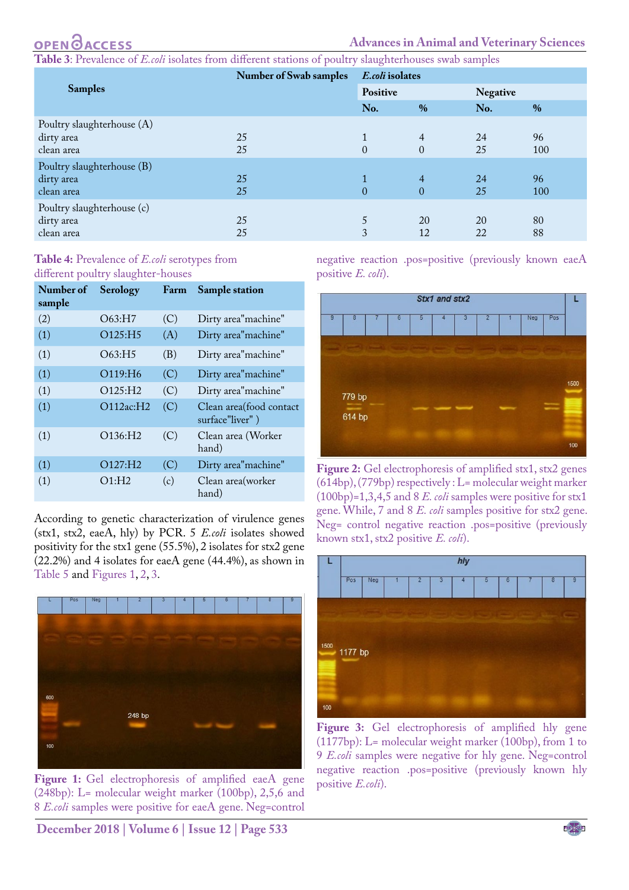## **OPEN GACCESS**

**Table 3**: Prevalence of *E.coli* isolates from different stations of poultry slaughterhouses swab samples

|                                                                      | <b>Number of Swab samples</b> |                          | E.coli isolates                  |                 |                  |  |
|----------------------------------------------------------------------|-------------------------------|--------------------------|----------------------------------|-----------------|------------------|--|
| <b>Samples</b>                                                       |                               | Positive                 |                                  | <b>Negative</b> |                  |  |
|                                                                      |                               |                          | $\%$                             | No.             | $\%$             |  |
| Poultry slaughterhouse (A)<br>dirty area                             | 25<br>25                      | $\mathbf{1}$<br>$\Omega$ | $\overline{4}$<br>$\theta$       | 24<br>25        | 96               |  |
| clean area<br>Poultry slaughterhouse (B)<br>dirty area<br>clean area | 25<br>25                      | $\theta$                 | $\overline{4}$<br>$\overline{0}$ | 24<br>25        | 100<br>96<br>100 |  |
| Poultry slaughterhouse (c)<br>dirty area<br>clean area               | 25<br>25                      | 5<br>3                   | 20<br>12                         | 20<br>22        | 80<br>88         |  |

#### **Table 4:** Prevalence of *E.coli* serotypes from different poultry slaughter-houses

| Number of<br>sample | Serology             | Farm | <b>Sample station</b>                       |
|---------------------|----------------------|------|---------------------------------------------|
| (2)                 | O63:H7               | (C)  | Dirty area"machine"                         |
| (1)                 | O125:H5              | (A)  | Dirty area"machine"                         |
| (1)                 | O63:H5               | (B)  | Dirty area" machine"                        |
| (1)                 | O119:H6              | (C)  | Dirty area"machine"                         |
| (1)                 | O125:H2              | (C)  | Dirty area"machine"                         |
| (1)                 | O112ac:H2            | (C)  | Clean area (food contact<br>surface"liver") |
| (1)                 | O136:H2              | (C)  | Clean area (Worker<br>hand)                 |
| (1)                 | O127:H2              | (C)  | Dirty area"machine"                         |
| (1)                 | $O1:$ H <sub>2</sub> | (c)  | Clean area (worker<br>hand)                 |

According to genetic characterization of virulence genes (stx1, stx2, eaeA, hly) by PCR. 5 *E.coli* isolates showed positivity for the stx1 gene (55.5%), 2 isolates for stx2 gene (22.2%) and 4 isolates for eaeA gene (44.4%), as shown in Table 5 and [Figures 1](#page-2-0)[, 2](#page-2-1)[, 3.](#page-2-2)

<span id="page-2-0"></span>

Figure 1: Gel electrophoresis of amplified eaeA gene (248bp): L= molecular weight marker (100bp), 2,5,6 and 8 *E.coli* samples were positive for eaeA gene. Neg=control

negative reaction .pos=positive (previously known eaeA positive *E. coli*).



<span id="page-2-1"></span>**Figure 2:** Gel electrophoresis of amplified stx1, stx2 genes (614bp), (779bp) respectively : L= molecular weight marker (100bp)=1,3,4,5 and 8 *E. coli* samples were positive for stx1 gene. While, 7 and 8 *E. coli* samples positive for stx2 gene. Neg= control negative reaction .pos=positive (previously known stx1, stx2 positive *E. coli*).



<span id="page-2-2"></span>Figure 3: Gel electrophoresis of amplified hly gene (1177bp): L= molecular weight marker (100bp), from 1 to 9 *E.coli* samples were negative for hly gene. Neg=control negative reaction .pos=positive (previously known hly positive *E.coli*).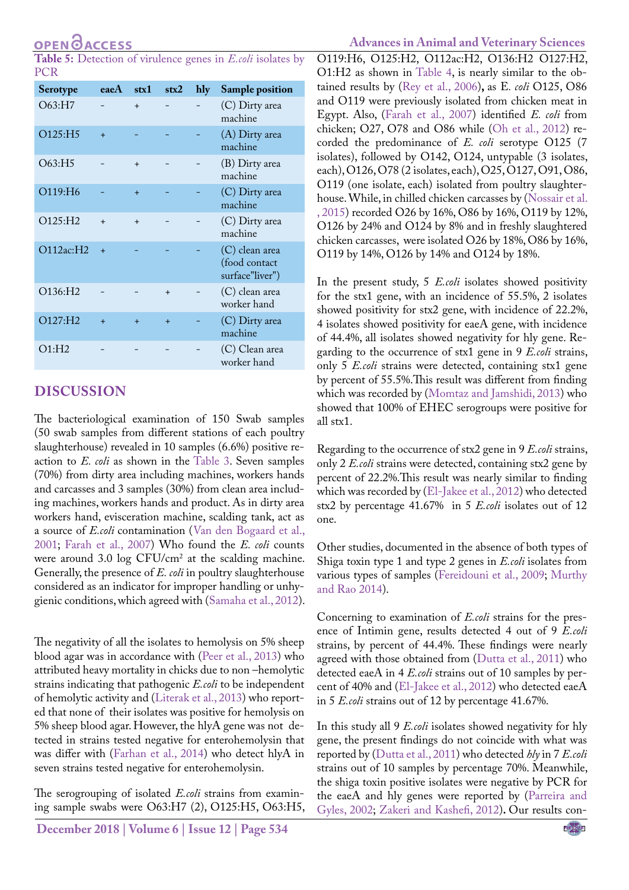**Table 5:** Detection of virulence genes in *E.coli* isolates by PCR

| <b>Serotype</b>      | eaeA      | str1 | stx2      | hly | <b>Sample position</b>                             |
|----------------------|-----------|------|-----------|-----|----------------------------------------------------|
| O63:H7               |           | $+$  |           |     | (C) Dirty area<br>machine                          |
| O125:H5              | $\ddot{}$ |      |           |     | (A) Dirty area<br>machine                          |
| O63:HI5              |           | $+$  |           |     | (B) Dirty area<br>machine                          |
| O119:H <sub>6</sub>  |           | $+$  |           |     | (C) Dirty area<br>machine                          |
| O125:H2              | $\ddot{}$ | $+$  |           |     | (C) Dirty area<br>machine                          |
| O112ac:H2            | $+$       |      |           |     | (C) clean area<br>(food contact<br>surface"liver") |
| O136:H2              |           |      | $\ddot{}$ |     | (C) clean area<br>worker hand                      |
| O127:H2              | $+$       | $+$  | $+$       |     | (C) Dirty area<br>machine                          |
| $O1:$ H <sub>2</sub> |           |      |           |     | (C) Clean area<br>worker hand                      |

### **DISCUSSION**

The bacteriological examination of 150 Swab samples (50 swab samples from different stations of each poultry slaughterhouse) revealed in 10 samples (6.6%) positive reaction to *E. coli* as shown in the Table 3. Seven samples (70%) from dirty area including machines, workers hands and carcasses and 3 samples (30%) from clean area including machines, workers hands and product. As in dirty area workers hand, evisceration machine, scalding tank, act as a source of *E.coli* contamination ([Van den Bogaard et al.,](#page-5-4) [2001;](#page-5-4) [Farah et al., 2007\)](#page-4-1) Who found the *E. coli* counts were around  $3.0 \log CFU/cm^2$  at the scalding machine. Generally, the presence of *E. coli* in poultry slaughterhouse considered as an indicator for improper handling or unhygienic conditions, which agreed with ([Samaha et al., 2012](#page-5-0)).

The negativity of all the isolates to hemolysis on 5% sheep blood agar was in accordance with [\(Peer et al., 2013](#page-5-5)) who attributed heavy mortality in chicks due to non –hemolytic strains indicating that pathogenic *E.coli* to be independent of hemolytic activity and ([Literak et al., 2013](#page-4-2)) who reported that none of their isolates was positive for hemolysis on 5% sheep blood agar. However, the hlyA gene was not detected in strains tested negative for enterohemolysin that was differ with [\(Farhan et al., 2014\)](#page-4-3) who detect hlyA in seven strains tested negative for enterohemolysin.

The serogrouping of isolated *E.coli* strains from examining sample swabs were O63:H7 (2), O125:H5, O63:H5, **Advances in Animal and Veterinary Sciences**

O119:H6, O125:H2, O112ac:H2, O136:H2 O127:H2, O1:H2 as shown in Table 4, is nearly similar to the obtained results by (Rey et al., 2006)**,** as E*. coli* O125, O86 and O119 were previously isolated from chicken meat in Egypt. Also, ([Farah et al., 2007](#page-4-1)) identified *E. coli* from chicken; O27, O78 and O86 while [\(Oh et al., 2012](#page-4-4)) recorded the predominance of *E. coli* serotype O125 (7 isolates), followed by O142, O124, untypable (3 isolates, each), O126, O78 (2 isolates, each), O25, O127, O91, O86, O119 (one isolate, each) isolated from poultry slaughterhouse. While, in chilled chicken carcasses by ([Nossair et al.](#page-4-5)  [, 2015\)](#page-4-5) recorded O26 by 16%, O86 by 16%, O119 by 12%, O126 by 24% and O124 by 8% and in freshly slaughtered chicken carcasses, were isolated O26 by 18%, O86 by 16%, O119 by 14%, O126 by 14% and O124 by 18%.

In the present study, 5 *E.coli* isolates showed positivity for the stx1 gene, with an incidence of 55.5%, 2 isolates showed positivity for stx2 gene, with incidence of 22.2%, 4 isolates showed positivity for eaeA gene, with incidence of 44.4%, all isolates showed negativity for hly gene. Regarding to the occurrence of stx1 gene in 9 *E.coli* strains, only 5 *E.coli* strains were detected, containing stx1 gene by percent of 55.5%.This result was different from finding which was recorded by ([Momtaz and Jamshidi, 2013\)](#page-4-6) who showed that 100% of EHEC serogroups were positive for all stx1.

Regarding to the occurrence of stx2 gene in 9 *E.coli* strains, only 2 *E.coli* strains were detected, containing stx2 gene by percent of 22.2%.This result was nearly similar to finding which was recorded by [\(El-Jakee et al., 2012\)](#page-4-7) who detected stx2 by percentage 41.67% in 5 *E.coli* isolates out of 12 one.

Other studies, documented in the absence of both types of Shiga toxin type 1 and type 2 genes in *E.coli* isolates from various types of samples (Fereidouni et al., 2009; [Murthy](#page-4-8)  [and Rao 2014\)](#page-4-8).

Concerning to examination of *E.coli* strains for the presence of Intimin gene, results detected 4 out of 9 *E.coli* strains, by percent of 44.4%. These findings were nearly agreed with those obtained from [\(Dutta et al., 2011](#page-4-9)) who detected eaeA in 4 *E.coli* strains out of 10 samples by percent of 40% and [\(El-Jakee et al., 2012\)](#page-4-7) who detected eaeA in 5 *E.coli* strains out of 12 by percentage 41.67%.

In this study all 9 *E.coli* isolates showed negativity for hly gene, the present findings do not coincide with what was reported by ([Dutta et al., 2011\)](#page-4-9) who detected *hly* in 7 *E.coli* strains out of 10 samples by percentage 70%. Meanwhile, the shiga toxin positive isolates were negative by PCR for the eaeA and hly genes were reported by [\(Parreira and](#page-4-10)  [Gyles, 2002](#page-4-10); [Zakeri and Kashefi, 2012\)](#page-5-6)**.** Our results con-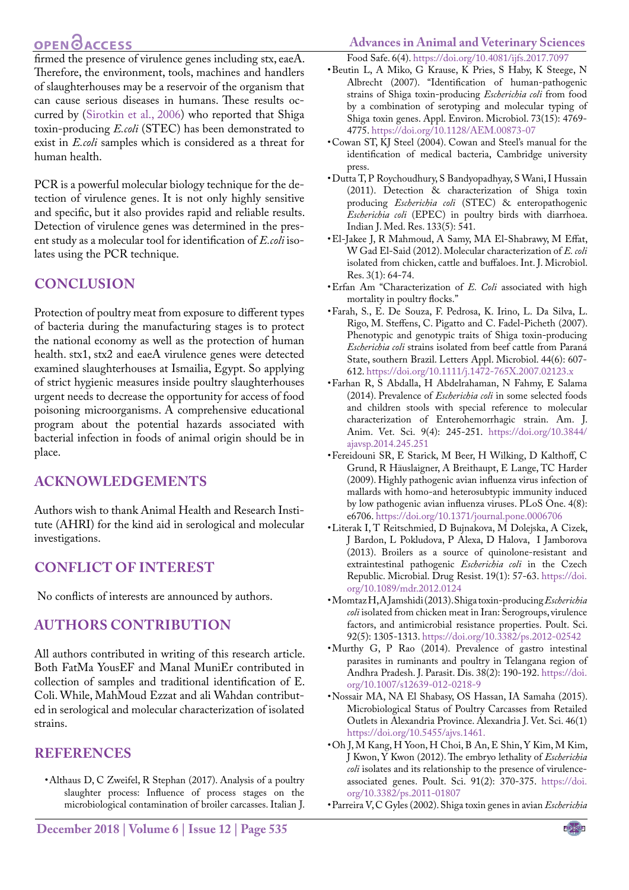#### **Advances in Animal and Veterinary Sciences**

## **OPEN**OACCESS

firmed the presence of virulence genes including stx, eaeA. Therefore, the environment, tools, machines and handlers of slaughterhouses may be a reservoir of the organism that can cause serious diseases in humans. These results occurred by ([Sirotkin et al., 2006\)](#page-5-7) who reported that Shiga toxin-producing *E.coli* (STEC) has been demonstrated to exist in *E.coli* samples which is considered as a threat for human health.

PCR is a powerful molecular biology technique for the detection of virulence genes. It is not only highly sensitive and specific, but it also provides rapid and reliable results. Detection of virulence genes was determined in the present study as a molecular tool for identification of *E.coli* isolates using the PCR technique.

## **CONCLUSION**

Protection of poultry meat from exposure to different types of bacteria during the manufacturing stages is to protect the national economy as well as the protection of human health. stx1, stx2 and eaeA virulence genes were detected examined slaughterhouses at Ismailia, Egypt. So applying of strict hygienic measures inside poultry slaughterhouses urgent needs to decrease the opportunity for access of food poisoning microorganisms. A comprehensive educational program about the potential hazards associated with bacterial infection in foods of animal origin should be in place.

## **ACKNOWLEDGEMENTS**

Authors wish to thank Animal Health and Research Institute (AHRI) for the kind aid in serological and molecular investigations.

## **CONFLICT OF INTEREST**

No conflicts of interests are announced by authors.

## **Authors Contribution**

All authors contributed in writing of this research article. Both FatMa YousEF and Manal MuniEr contributed in collection of samples and traditional identification of E. Coli. While, MahMoud Ezzat and ali Wahdan contributed in serological and molecular characterization of isolated strains.

## **References**

<span id="page-4-0"></span>• Althaus D, C Zweifel, R Stephan (2017). Analysis of a poultry slaughter process: Influence of process stages on the microbiological contamination of broiler carcasses. Italian J.

- Food Safe. 6(4). [https://doi.org/10.4081/ijfs.2017.7097](https://doi.org/10.4081/ijfs.2017.7097 ) • Beutin L, A Miko, G Krause, K Pries, S Haby, K Steege, N Albrecht (2007). "Identification of human-pathogenic strains of Shiga toxin-producing *Escherichia coli* from food by a combination of serotyping and molecular typing of Shiga toxin genes. Appl. Environ. Microbiol. 73(15): 4769- 4775. [https://doi.org/10.1128/AEM.00873-07](https://doi.org/10.1128/AEM.00873-07 )
- • Cowan ST, KJ Steel (2004). Cowan and Steel's manual for the identification of medical bacteria, Cambridge university press.
- <span id="page-4-9"></span>• Dutta T, P Roychoudhury, S Bandyopadhyay, S Wani, I Hussain (2011). Detection & characterization of Shiga toxin producing *Escherichia coli* (STEC) & enteropathogenic *Escherichia coli* (EPEC) in poultry birds with diarrhoea. Indian J. Med. Res. 133(5): 541.
- <span id="page-4-7"></span>• El-Jakee J, R Mahmoud, A Samy, MA El-Shabrawy, M Effat, W Gad El-Said (2012). Molecular characterization of *E. coli* isolated from chicken, cattle and buffaloes. Int. J. Microbiol. Res. 3(1): 64-74.
- • Erfan Am "Characterization of *E. Coli* associated with high mortality in poultry flocks."
- <span id="page-4-1"></span>• Farah, S., E. De Souza, F. Pedrosa, K. Irino, L. Da Silva, L. Rigo, M. Steffens, C. Pigatto and C. Fadel‐Picheth (2007). Phenotypic and genotypic traits of Shiga toxin‐producing *Escherichia coli* strains isolated from beef cattle from Paraná State, southern Brazil. Letters Appl. Microbiol. 44(6): 607- 612[. https://doi.org/10.1111/j.1472-765X.2007.02123.x]( https://doi.org/10.1111/j.1472-765X.2007.02123.x )
- <span id="page-4-3"></span>• Farhan R, S Abdalla, H Abdelrahaman, N Fahmy, E Salama (2014). Prevalence of *Escherichia coli* in some selected foods and children stools with special reference to molecular characterization of Enterohemorrhagic strain. Am. J. Anim. Vet. Sci. 9(4): 245-251. [https://doi.org/10.3844/](https://doi.org/10.3844/ajavsp.2014.245.251 ) [ajavsp.2014.245.251](https://doi.org/10.3844/ajavsp.2014.245.251 )
- • Fereidouni SR, E Starick, M Beer, H Wilking, D Kalthoff, C Grund, R Häuslaigner, A Breithaupt, E Lange, TC Harder (2009). Highly pathogenic avian influenza virus infection of mallards with homo-and heterosubtypic immunity induced by low pathogenic avian influenza viruses. PLoS One. 4(8): e6706[. https://doi.org/10.1371/journal.pone.0006706]( https://doi.org/10.1371/journal.pone.0006706 )
- <span id="page-4-2"></span>• Literak I, T Reitschmied, D Bujnakova, M Dolejska, A Cizek, J Bardon, L Pokludova, P Alexa, D Halova, I Jamborova (2013). Broilers as a source of quinolone-resistant and extraintestinal pathogenic *Escherichia coli* in the Czech Republic. Microbial. Drug Resist. 19(1): 57-63. [https://doi.](https://doi.org/10.1089/mdr.2012.0124 ) [org/10.1089/mdr.2012.0124](https://doi.org/10.1089/mdr.2012.0124 )
- <span id="page-4-6"></span>• Momtaz H, A Jamshidi (2013). Shiga toxin-producing *Escherichia coli* isolated from chicken meat in Iran: Serogroups, virulence factors, and antimicrobial resistance properties. Poult. Sci. 92(5): 1305-1313[. https://doi.org/10.3382/ps.2012-02542]( https://doi.org/10.3382/ps.2012-02542 )
- <span id="page-4-8"></span>• Murthy G, P Rao (2014). Prevalence of gastro intestinal parasites in ruminants and poultry in Telangana region of Andhra Pradesh. J. Parasit. Dis. 38(2): 190-192. [https://doi.](https://doi.org/10.1007/s12639-012-0218-9 ) [org/10.1007/s12639-012-0218-9](https://doi.org/10.1007/s12639-012-0218-9 )
- <span id="page-4-5"></span>• Nossair MA, NA El Shabasy, OS Hassan, IA Samaha (2015). Microbiological Status of Poultry Carcasses from Retailed Outlets in Alexandria Province. Alexandria J. Vet. Sci. 46(1) [https://doi.org/10.5455/ajvs.1461.](https://doi.org/10.5455/ajvs.1461. )
- <span id="page-4-4"></span>• Oh J, M Kang, H Yoon, H Choi, B An, E Shin, Y Kim, M Kim, J Kwon, Y Kwon (2012). The embryo lethality of *Escherichia coli* isolates and its relationship to the presence of virulenceassociated genes. Poult. Sci. 91(2): 370-375. [https://doi.](https://doi.org/10.3382/ps.2011-01807 ) [org/10.3382/ps.2011-01807](https://doi.org/10.3382/ps.2011-01807 )
- <span id="page-4-10"></span>• Parreira V, C Gyles (2002). Shiga toxin genes in avian *Escherichia*